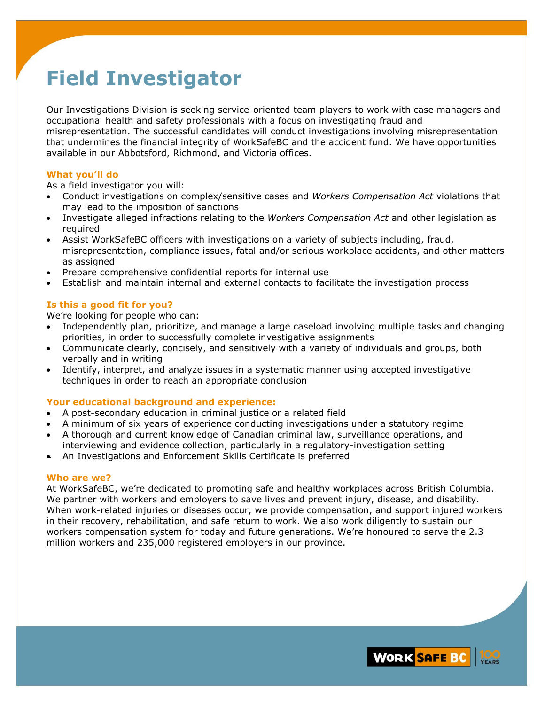# **Field Investigator**

Our Investigations Division is seeking service-oriented team players to work with case managers and occupational health and safety professionals with a focus on investigating fraud and misrepresentation. The successful candidates will conduct investigations involving misrepresentation that undermines the financial integrity of WorkSafeBC and the accident fund. We have opportunities available in our Abbotsford, Richmond, and Victoria offices.

#### **What you'll do**

As a field investigator you will:

- Conduct investigations on complex/sensitive cases and *Workers Compensation Act* violations that may lead to the imposition of sanctions
- Investigate alleged infractions relating to the *Workers Compensation Act* and other legislation as required
- Assist WorkSafeBC officers with investigations on a variety of subjects including, fraud, misrepresentation, compliance issues, fatal and/or serious workplace accidents, and other matters as assigned
- Prepare comprehensive confidential reports for internal use
- Establish and maintain internal and external contacts to facilitate the investigation process

## **Is this a good fit for you?**

We're looking for people who can:

- Independently plan, prioritize, and manage a large caseload involving multiple tasks and changing priorities, in order to successfully complete investigative assignments
- Communicate clearly, concisely, and sensitively with a variety of individuals and groups, both verbally and in writing
- Identify, interpret, and analyze issues in a systematic manner using accepted investigative techniques in order to reach an appropriate conclusion

## **Your educational background and experience:**

- A post-secondary education in criminal justice or a related field
- A minimum of six years of experience conducting investigations under a statutory regime
- A thorough and current knowledge of Canadian criminal law, surveillance operations, and interviewing and evidence collection, particularly in a regulatory-investigation setting
- An Investigations and Enforcement Skills Certificate is preferred

## **Who are we?**

At WorkSafeBC, we're dedicated to promoting safe and healthy workplaces across British Columbia. We partner with workers and employers to save lives and prevent injury, disease, and disability. When work-related injuries or diseases occur, we provide compensation, and support injured workers in their recovery, rehabilitation, and safe return to work. We also work diligently to sustain our workers compensation system for today and future generations. We're honoured to serve the 2.3 million workers and 235,000 registered employers in our province.